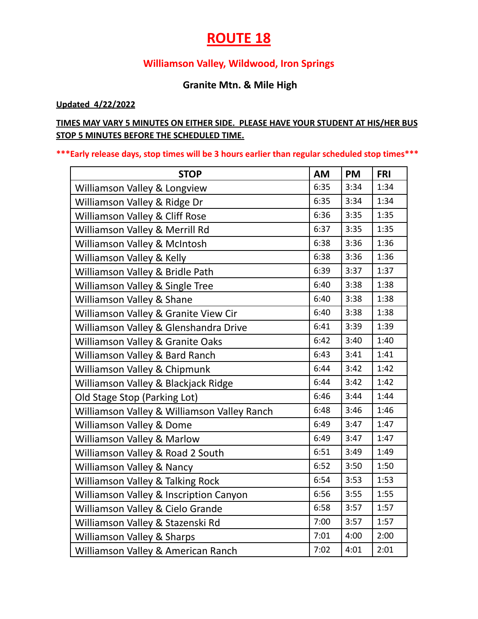# **ROUTE 18**

### **Williamson Valley, Wildwood, Iron Springs**

### **Granite Mtn. & Mile High**

#### **Updated 4/22/2022**

### **TIMES MAY VARY 5 MINUTES ON EITHER SIDE. PLEASE HAVE YOUR STUDENT AT HIS/HER BUS STOP 5 MINUTES BEFORE THE SCHEDULED TIME.**

#### **\*\*\*Early release days, stop times will be 3 hours earlier than regular scheduled stop times\*\*\***

| <b>STOP</b>                                 | <b>AM</b> | <b>PM</b> | <b>FRI</b> |
|---------------------------------------------|-----------|-----------|------------|
| Williamson Valley & Longview                | 6:35      | 3:34      | 1:34       |
| Williamson Valley & Ridge Dr                | 6:35      | 3:34      | 1:34       |
| Williamson Valley & Cliff Rose              | 6:36      | 3:35      | 1:35       |
| Williamson Valley & Merrill Rd              | 6:37      | 3:35      | 1:35       |
| Williamson Valley & McIntosh                | 6:38      | 3:36      | 1:36       |
| Williamson Valley & Kelly                   | 6:38      | 3:36      | 1:36       |
| Williamson Valley & Bridle Path             | 6:39      | 3:37      | 1:37       |
| Williamson Valley & Single Tree             | 6:40      | 3:38      | 1:38       |
| Williamson Valley & Shane                   | 6:40      | 3:38      | 1:38       |
| Williamson Valley & Granite View Cir        | 6:40      | 3:38      | 1:38       |
| Williamson Valley & Glenshandra Drive       | 6:41      | 3:39      | 1:39       |
| Williamson Valley & Granite Oaks            | 6:42      | 3:40      | 1:40       |
| Williamson Valley & Bard Ranch              | 6:43      | 3:41      | 1:41       |
| Williamson Valley & Chipmunk                | 6:44      | 3:42      | 1:42       |
| Williamson Valley & Blackjack Ridge         | 6:44      | 3:42      | 1:42       |
| Old Stage Stop (Parking Lot)                | 6:46      | 3:44      | 1:44       |
| Williamson Valley & Williamson Valley Ranch | 6:48      | 3:46      | 1:46       |
| Williamson Valley & Dome                    | 6:49      | 3:47      | 1:47       |
| Williamson Valley & Marlow                  | 6:49      | 3:47      | 1:47       |
| Williamson Valley & Road 2 South            | 6:51      | 3:49      | 1:49       |
| Williamson Valley & Nancy                   | 6:52      | 3:50      | 1:50       |
| <b>Williamson Valley &amp; Talking Rock</b> | 6:54      | 3:53      | 1:53       |
| Williamson Valley & Inscription Canyon      | 6:56      | 3:55      | 1:55       |
| Williamson Valley & Cielo Grande            | 6:58      | 3:57      | 1:57       |
| Williamson Valley & Stazenski Rd            | 7:00      | 3:57      | 1:57       |
| <b>Williamson Valley &amp; Sharps</b>       | 7:01      | 4:00      | 2:00       |
| Williamson Valley & American Ranch          | 7:02      | 4:01      | 2:01       |